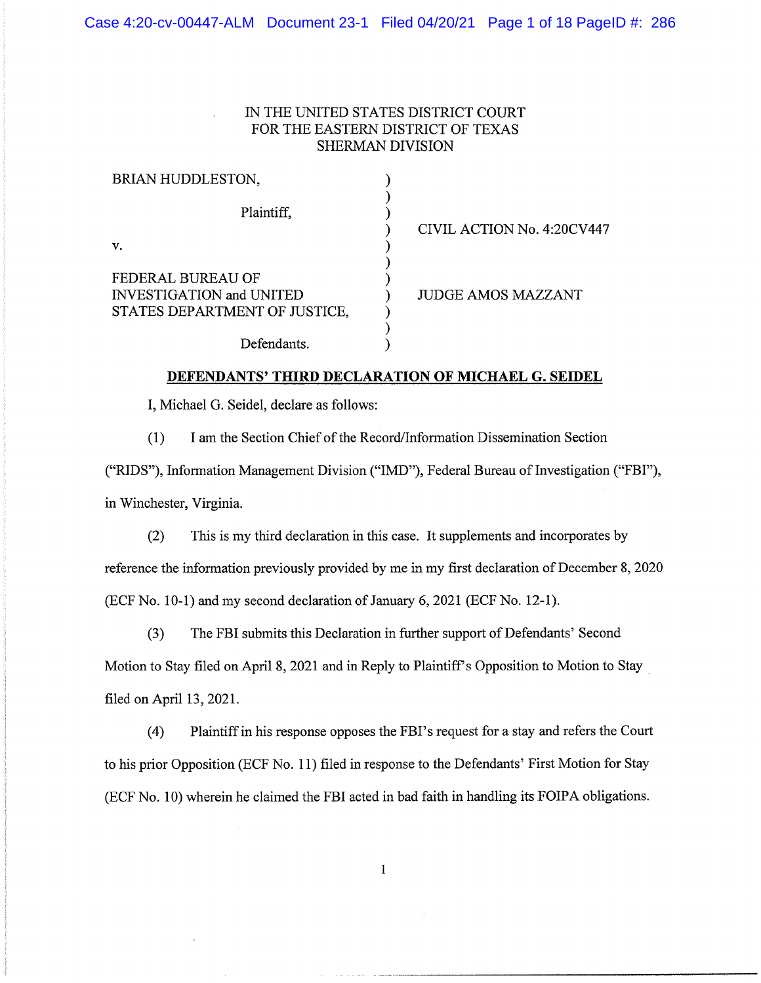### IN THE UNITED STATES DISTRICT COURT FOR THE EASTERN DISTRICT OF TEXAS SHERMAN DIVISION

| BRIAN HUDDLESTON,               |                            |
|---------------------------------|----------------------------|
| Plaintiff,                      | CIVIL ACTION No. 4:20CV447 |
| v.                              |                            |
| FEDERAL BUREAU OF               |                            |
| <b>INVESTIGATION</b> and UNITED | <b>JUDGE AMOS MAZZANT</b>  |
| STATES DEPARTMENT OF JUSTICE,   |                            |
|                                 |                            |
| Defendants.                     |                            |

### **DEFENDANTS' THIRD DECLARATION OF MICHAEL G. SEIDEL**

I, Michael G. Seidel, declare as follows:

(1) I am the Section Chief of the Record/Information Dissemination Section

("RIDS"), Information Management Division ("IMD"), Federal Bureau of Investigation ("FBI"), in Winchester, Virginia.

(2) This is my third declaration in this case. It supplements and incorporates by reference the information previously provided by me in my first declaration of December 8, 2020 (ECF No. 10-1) and my second declaration of January 6, 2021 (ECF No. 12-1).

(3) The FBI submits this Declaration in further support of Defendants' Second Motion to Stay filed on April 8, 2021 and in Reply to Plaintiff's Opposition to Motion to Stay filed on April 13, 2021.

(4) Plaintiff in his response opposes the FBI's request for a stay and refers the Court to his prior Opposition (ECF No. 11) filed in response to the Defendants' First Motion for Stay (ECF No. 10) wherein he claimed the FBI acted in bad faith in handling its FOIPA obligations.

 $\mathbf{1}$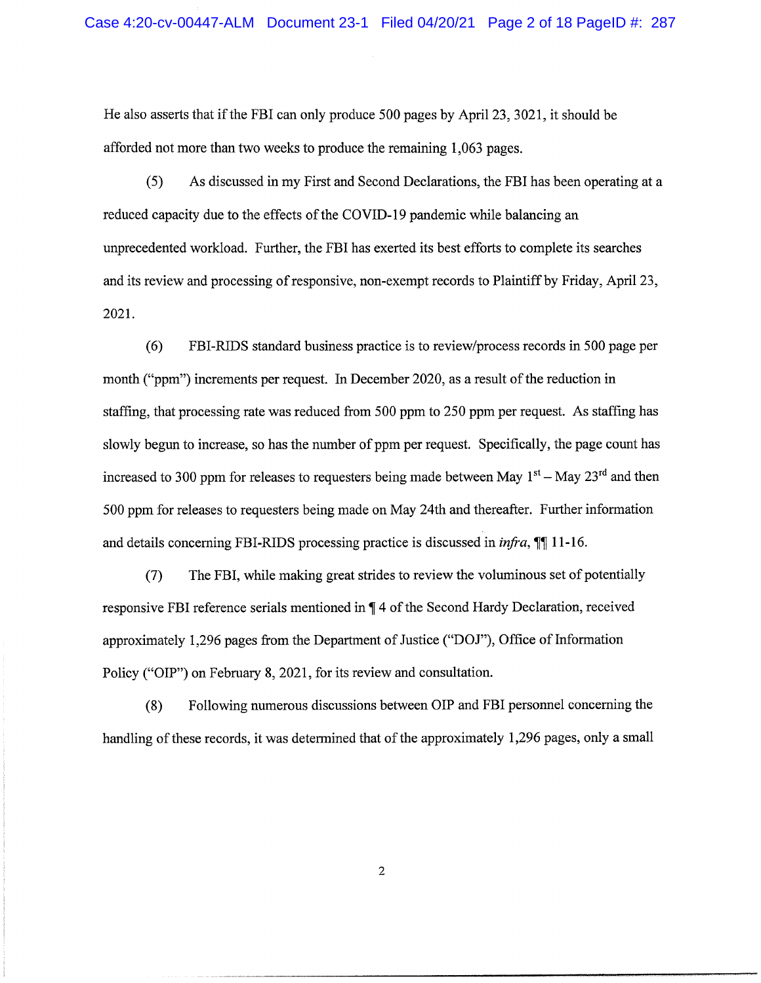He also asserts that if the FBI can only produce 500 pages by April 23, 3021, it should be afforded not more than two weeks to produce the remaining 1,063 pages.

(5) As discussed in my First and Second Declarations, the FBI has been operating at a reduced capacity due to the effects of the COVID-19 pandemic while balancing an unprecedented workload. Further, the FBI has exerted its best efforts to complete its searches and its review and processing of responsive, non-exempt records to Plaintiff by Friday, April 23, 2021.

(6) FBI-RIDS standard business practice is to review/process records in 500 page per month ("ppm") increments per request. In December 2020, as a result of the reduction in staffing, that processing rate was reduced from 500 ppm to 250 ppm per request. As staffing has slowly begun to increase, so has the number of ppm per request. Specifically, the page count has increased to 300 ppm for releases to requesters being made between May  $1<sup>st</sup> -$  May  $23<sup>rd</sup>$  and then 500 ppm for releases to requesters being made on May 24th and thereafter. Further information and details concerning FBI-RIDS processing practice is discussed in *infra*,  $\P$  11-16.

(7) The FBI, while making great strides to review the voluminous set of potentially responsive FBI reference serials mentioned in  $\P$  4 of the Second Hardy Declaration, received approximately 1,296 pages from the Department of Justice ("DOJ"), Office of Information Policy ("OIP") on February 8, 2021, for its review and consultation.

(8) Following numerous discussions between OIP and FBI personnel concerning the handling of these records, it was determined that of the approximately 1,296 pages, only a small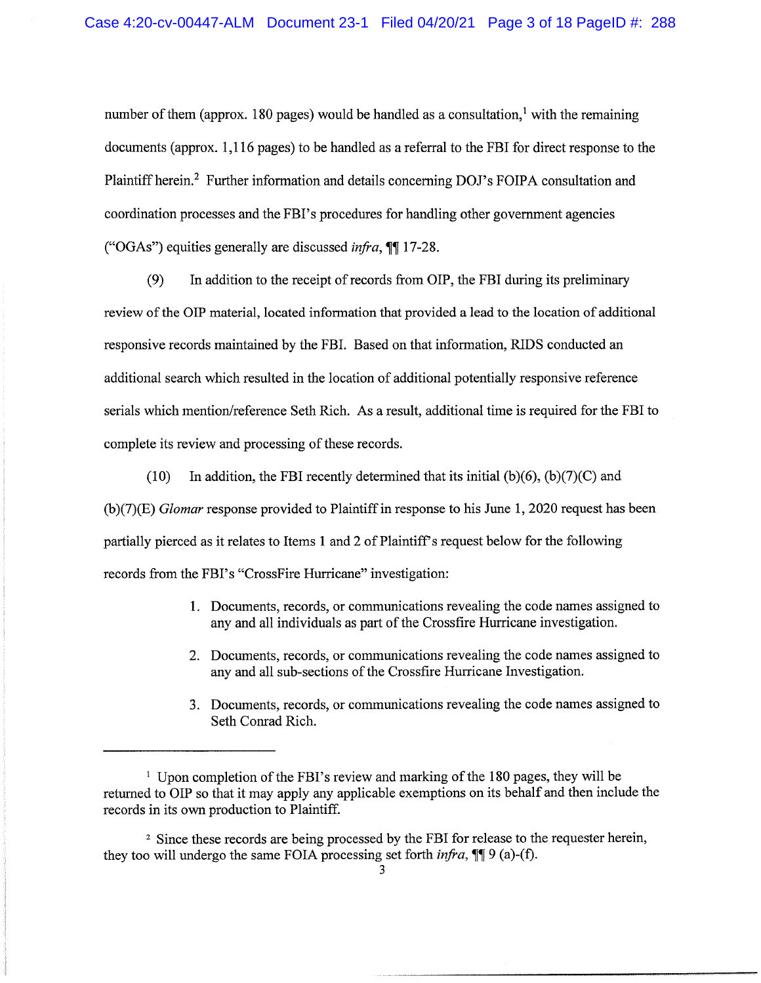number of them (approx. 180 pages) would be handled as a consultation,<sup>1</sup> with the remaining documents (approx. 1,116 pages) to be handled as a referral to the FBI for direct response to the Plaintiff herein.<sup>2</sup> Further information and details concerning DOJ's FOIPA consultation and coordination processes and the FBI's procedures for handling other government agencies ("OGAs") equities generally are discussed *infra*,  $\mathbb{I}$  17-28.

(9) In addition to the receipt of records from OIP, the FBI during its preliminary review of the OIP material, located information that provided a lead to the location of additional responsive records maintained by the FBI. Based on that information, RIDS conducted an additional search which resulted in the location of additional potentially responsive reference serials which mention/reference Seth Rich. As a result, additional time is required for the FBI to complete its review and processing of these records.

(10) In addition, the FBI recently determined that its initial  $(b)(6)$ ,  $(b)(7)(C)$  and (b)(7)(E) *Glomar* response provided to Plaintiff in response to his June 1,2020 request has been partially pierced as it relates to Items 1 and 2 of Plaintiff's request below for the following records from the FBI's "CrossFire Hurricane" investigation:

- 1. Documents, records, or communications revealing the code names assigned to any and all individuals as part of the Crossfire Hurricane investigation.
- 2. Documents, records, or communications revealing the code names assigned to any and all sub-sections of the Crossfire Hurricane Investigation.
- 3. Documents, records, or communications revealing the code names assigned to Seth Conrad Rich.

<sup>&</sup>lt;sup>1</sup> Upon completion of the FBI's review and marking of the 180 pages, they will be returned to OIP so that it may apply any applicable exemptions on its behalf and then include the records in its own production to Plaintiff.

<sup>2</sup> Since these records are being processed by the FBI for release to the requester herein, they too will undergo the same FOIA processing set forth  $\inf \{f : g \in A\}$ .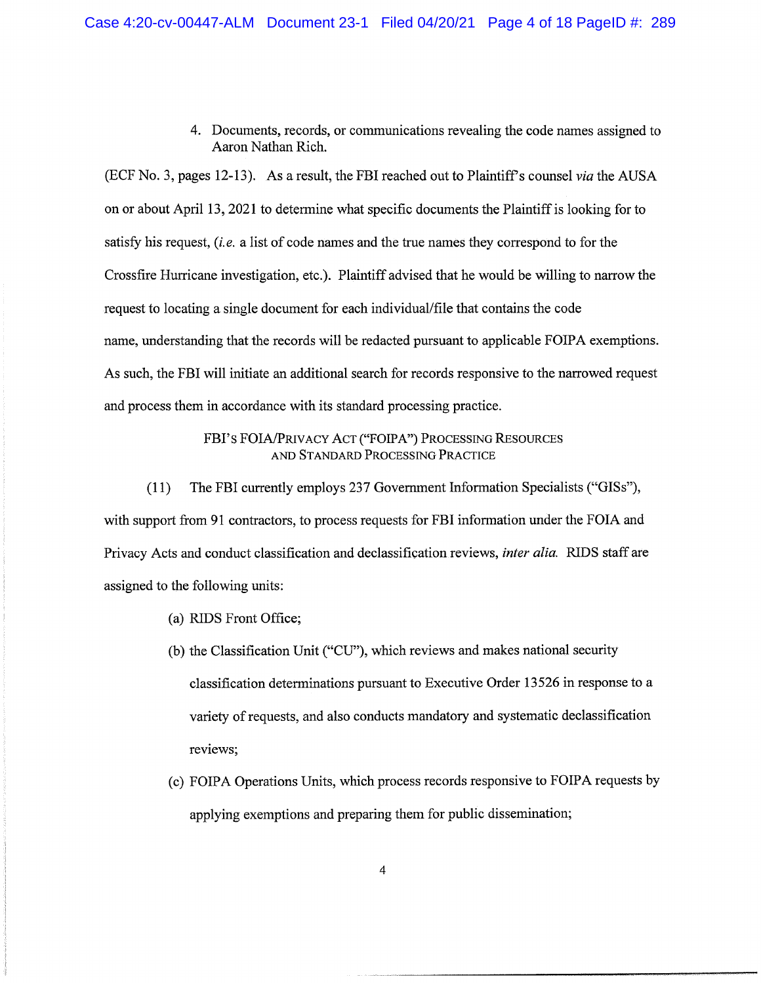4. Documents, records, or communications revealing the code names assigned to Aaron Nathan Rich.

(ECF No.3, pages 12-13). As a result, the FBI reached out to Plaintiff's counsel *via* the AUSA on or about April 13, 2021 to determine what specific documents the Plaintiff is looking for to satisfy his request, *(i. e.* a list of code names and the true names they correspond to for the Crossfire Hurricane investigation, etc.). Plaintiff advised that he would be willing to narrow the request to locating a single document for each individual/file that contains the code name, understanding that the records will be redacted pursuant to applicable FOIPA exemptions. As such, the FBI will initiate an additional search for records responsive to the narrowed request and process them in accordance with its standard processing practice.

## FBI's FOIA/PRIVACY ACT ("FOIPA") PROCESSING RESOURCES AND STANDARD PROCESSING PRACTICE

(11) The FBI currently employs 237 Government Information Specialists ("GISs"), with support from 91 contractors, to process requests for FBI information under the FOIA and Privacy Acts and conduct classification and declassification reviews, *inter alia.* RIDS staff are assigned to the following units:

- (a) RIDS Front Office;
- (b) the Classification Unit ("CU"), which reviews and makes national security classification determinations pursuant to Executive Order 13526 in response to a variety of requests, and also conducts mandatory and systematic declassification reviews;
- (c) FOIPA Operations Units, which process records responsive to FOIPA requests by applying exemptions and preparing them for public dissemination;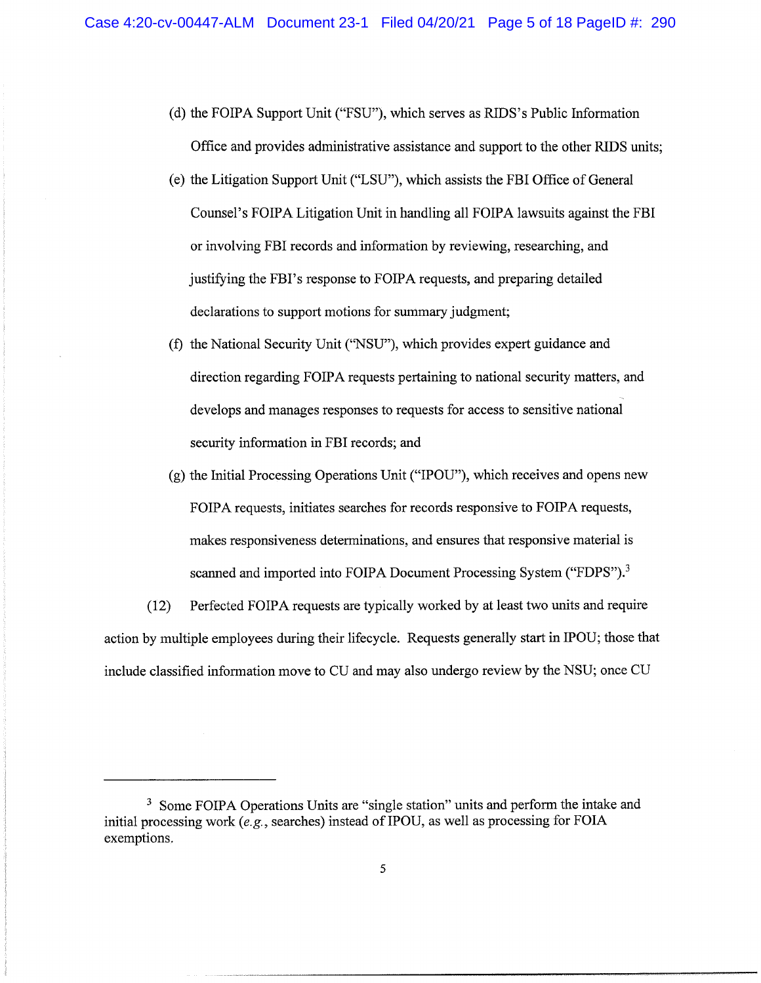- (d) the FOIPA Support Unit ("FSU"), which serves as RIDS's Public Information Office and provides administrative assistance and support to the other RIDS units;
- (e) the Litigation Support Unit ("LSU"), which assists the FBI Office of General Counsel's FOIPA Litigation Unit in handling all FOIPA lawsuits against the FBI or involving FBI records and information by reviewing, researching, and justifying the FBI's response to FOIPA requests, and preparing detailed declarations to support motions for summary judgment;
- (f) the National Security Unit (''NSU''), which provides expert guidance and direction regarding FOIPA requests pertaining to national security matters, and develops and manages responses to requests for access to sensitive national security information in FBI records; and
- (g) the Initial Processing Operations Unit ("IPOU"), which receives and opens new FOIPA requests, initiates searches for records responsive to FOIPA requests, makes responsiveness determinations, and ensures that responsive material is scanned and imported into FOIPA Document Processing System ("FDPS").<sup>3</sup>

(12) Perfected FOIPA requests are typically worked by at least two units and require action by multiple employees during their lifecycle. Requests generally start in IPOU; those that include classified information move to CU and may also undergo review by the NSU; once CU

<sup>&</sup>lt;sup>3</sup> Some FOIPA Operations Units are "single station" units and perform the intake and initial processing work *(e.g.,* searches) instead ofIPOU, as well as processing for FOIA exemptions.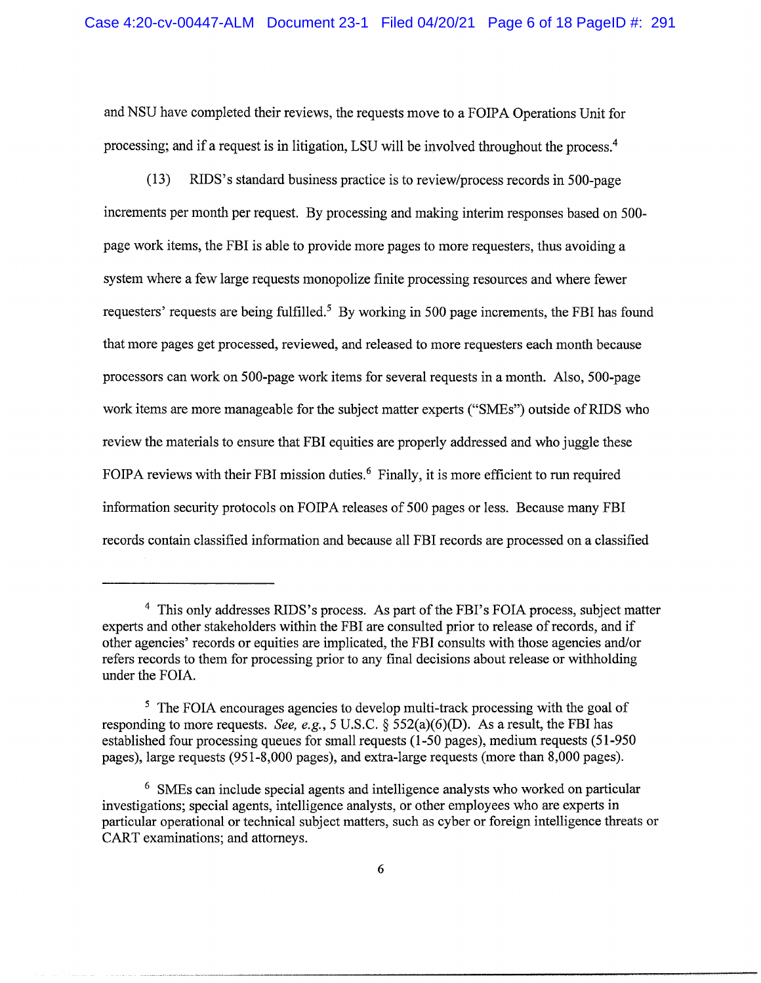and NSU have completed their reviews, the requests move to a FOIPA Operations Unit for processing; and if a request is in litigation, LSU will be involved throughout the process.<sup>4</sup>

(13) RIDS's standard business practice is to review/process records in 500-page increments per month per request. By processing and making interim responses based on 500 page work items, the FBI is able to provide more pages to more requesters, thus avoiding a system where a few large requests monopolize finite processing resources and where fewer requesters' requests are being fulfilled.<sup>5</sup> By working in 500 page increments, the FBI has found that more pages get processed, reviewed, and released to more requesters each month because processors can work on 500-page work items for several requests in a month. Also,500-page work items are more manageable for the subject matter experts ("SMEs") outside of RIDS who review the materials to ensure that FBI equities are properly addressed and who juggle these FOIPA reviews with their FBI mission duties.<sup>6</sup> Finally, it is more efficient to run required information security protocols on FOIPA releases of 500 pages or less. Because many FBI records contain classified information and because all FBI records are processed on a classified

<sup>&</sup>lt;sup>4</sup> This only addresses RIDS's process. As part of the FBI's FOIA process, subject matter experts and other stakeholders within the FBI are consulted prior to release of records, and if other agencies' records or equities are implicated, the FBI consults with those agencies and/or refers records to them for processing prior to any final decisions about release or withholding under the FOIA.

<sup>&</sup>lt;sup>5</sup> The FOIA encourages agencies to develop multi-track processing with the goal of responding to more requests. *See, e.g.,* 5 U.S.C. § 552(a)(6)(D). As a result, the FBI has established four processing queues for small requests (1-50 pages), medium requests (51-950 pages), large requests (951-8,000 pages), and extra-large requests (more than 8,000 pages).

<sup>6</sup> SMEs can include special agents and intelligence analysts who worked on particular investigations; special agents, intelligence analysts, or other employees who are experts in particular operational or technical subject matters, such as cyber or foreign intelligence threats or CART examinations; and attorneys.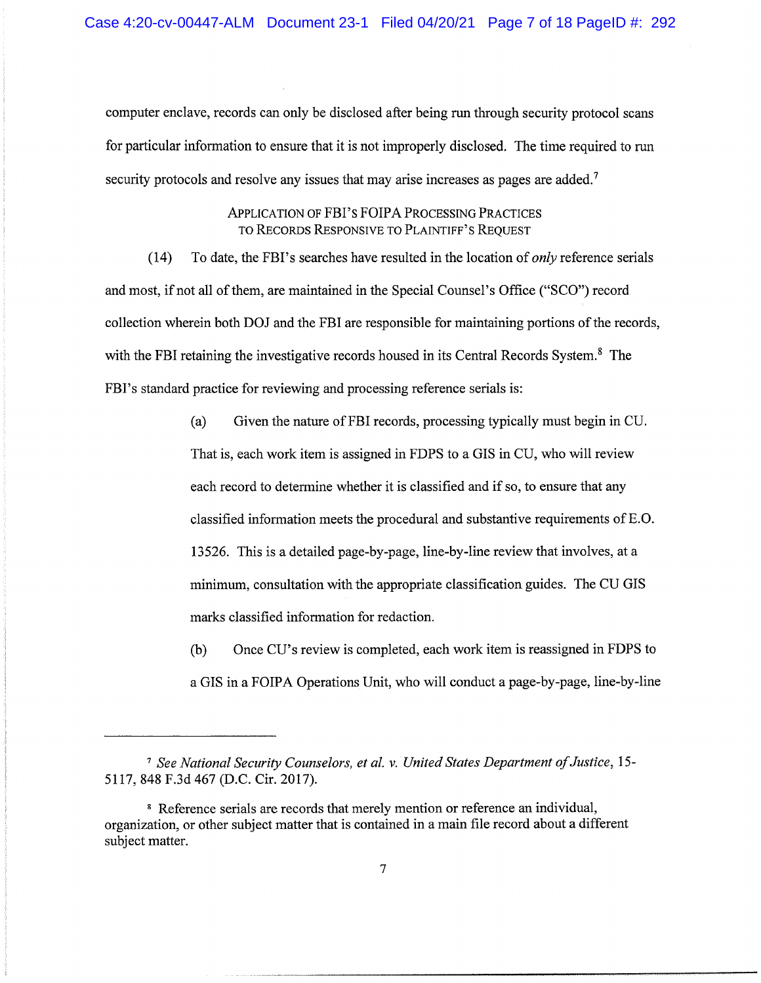computer enclave, records can only be disclosed after being run through security protocol scans for particular information to ensure that it is not improperly disclosed. The time required to run security protocols and resolve any issues that may arise increases as pages are added.<sup>7</sup>

## ApPLICATION OF FBI's FOIPA PROCESSING PRACTICES TO RECORDS RESPONSIVE TO PLAINTIFF'S REQUEST

(14) To date, the FBI's searches have resulted in the location of *only* reference serials and most, if not all of them, are maintained in the Special Counsel's Office ("SCO") record collection wherein both DO] and the FBI are responsible for maintaining portions of the records, with the FBI retaining the investigative records housed in its Central Records System.<sup>8</sup> The FBI's standard practice for reviewing and processing reference serials is:

> (a) Given the nature of FBI records, processing typically must begin in CU. That is, each work item is assigned in FDPS to a GIS in CU, who will review each record to determine whether it is classified and if so, to ensure that any classified information meets the procedural and substantive requirements ofE.O. l3526. This is a detailed page-by-page, line-by-line review that involves, at a minimum, consultation with the appropriate classification guides. The CU GIS marks classified information for redaction.

(b) Once CU's review is completed, each work item is reassigned in FDPS to a GIS in a FOIPA Operations Unit, who will conduct a page-by-page, line-by-line

*<sup>7</sup> See National Security Counselors, et al.* v. *United States Department of Justice, 15-* 5117,848 F.3d 467 (D.C. Cir. 2017).

<sup>&</sup>lt;sup>8</sup> Reference serials are records that merely mention or reference an individual, organization, or other subject matter that is contained in a main file record about a different subject matter.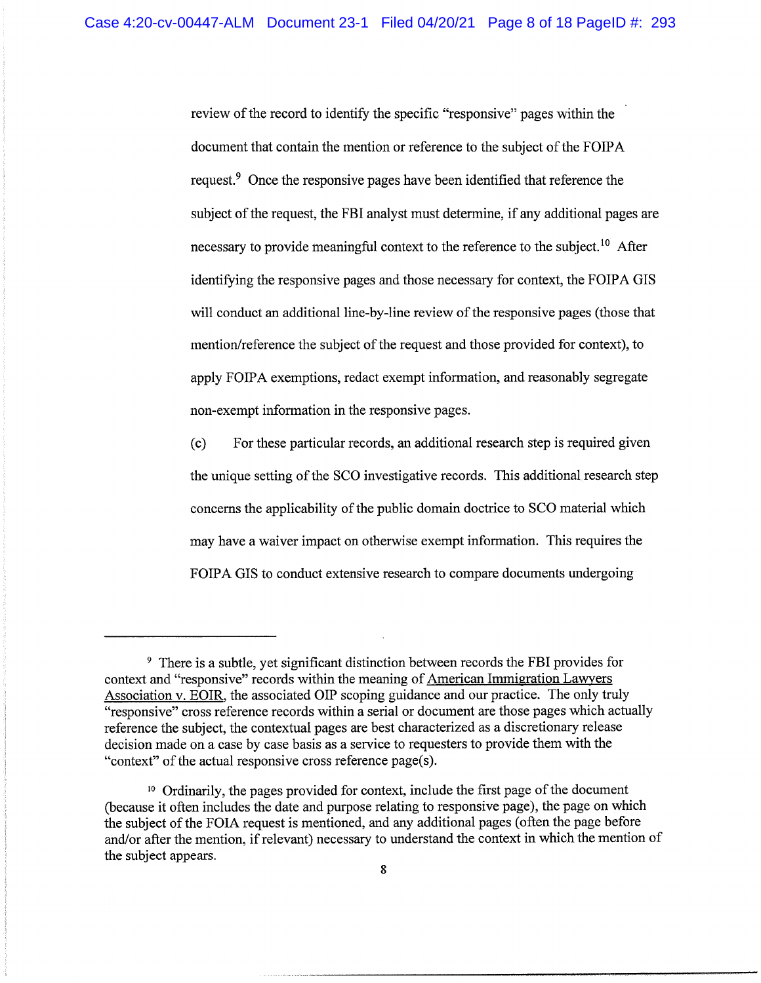review of the record to identify the specific "responsive" pages within the document that contain the mention or reference to the subject of the FOIPA request.<sup>9</sup> Once the responsive pages have been identified that reference the subject of the request, the FBI analyst must determine, if any additional pages are necessary to provide meaningful context to the reference to the subject.<sup>10</sup> After identifying the responsive pages and those necessary for context, the FOIPA GIS will conduct an additional line-by-line review of the responsive pages (those that mention/reference the subject of the request and those provided for context), to apply FOIPA exemptions, redact exempt information, and reasonably segregate non-exempt information in the responsive pages.

(c) For these particular records, an additional research step is required given the unique setting of the SCO investigative records. This additional research step concerns the applicability of the public domain doctrice to SCO material which may have a waiver impact on otherwise exempt information. This requires the FOIPA GIS to conduct extensive research to compare documents undergoing

<sup>9</sup> There is a subtle, yet significant distinction between records the FBI provides for context and "responsive" records within the meaning of American Immigration Lawyers Association v. EOIR, the associated OIP scoping guidance and our practice. The only truly "responsive" cross reference records within a serial or document are those pages which actually reference the subject, the contextual pages are best characterized as a discretionary release decision made on a case by case basis as a service to requesters to provide them with the "context" of the actual responsive cross reference page(s).

<sup>10</sup> Ordinarily, the pages provided for context, include the first page of the document (because it often includes the date and purpose relating to responsive page), the page on which the subject of the FOIA request is mentioned, and any additional pages (often the page before and/or after the mention, if relevant) necessary to understand the context in which the mention of the subject appears.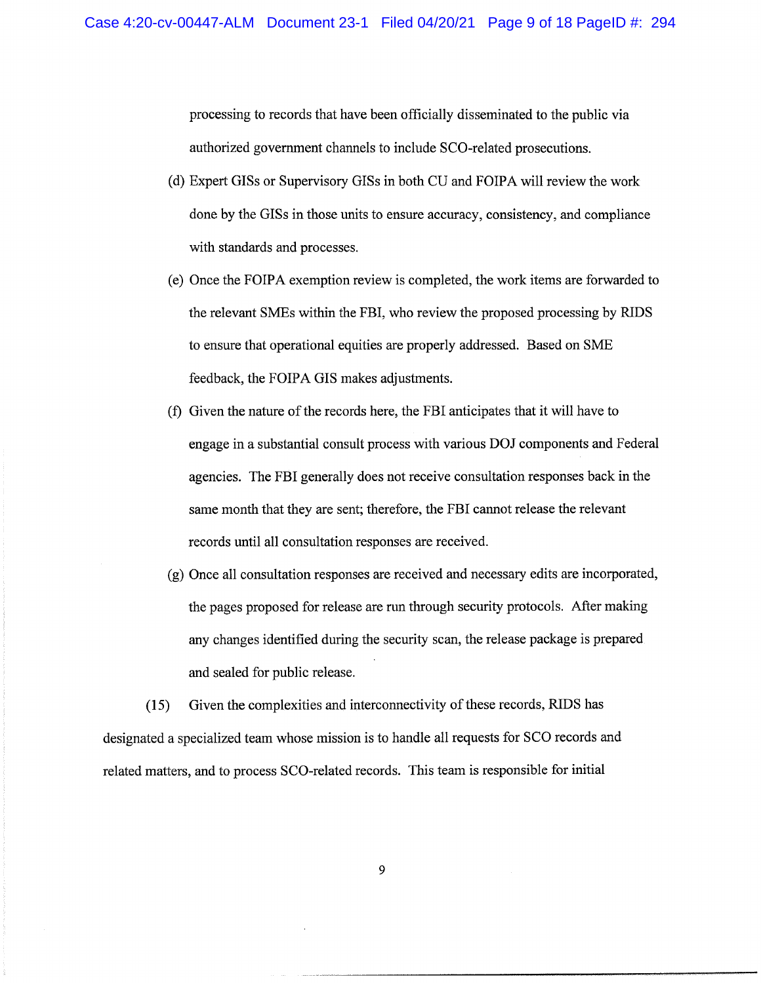processing to records that have been officially disseminated to the public via authorized government channels to include SCO-related prosecutions.

- (d) Expert GISs or Supervisory GISs in both CU and FOIPA will review the work done by the GISs in those units to ensure accuracy, consistency, and compliance with standards and processes.
- (e) Once the FOIPA exemption review is completed, the work items are forwarded to the relevant SMEs within the FBI, who review the proposed processing by RIDS to ensure that operational equities are properly addressed. Based on SME feedback, the FOIPA GIS makes adjustments.
- (f) Given the nature of the records here, the FBI anticipates that it will have to engage in a substantial consult process with various DO] components and Federal agencies. The FBI generally does not receive consultation responses back in the same month that they are sent; therefore, the FBI cannot release the relevant records until all consultation responses are received.
- (g) Once all consultation responses are received and necessary edits are incorporated, the pages proposed for release are run through security protocols. After making any changes identified during the security scan, the release package is prepared and sealed for public release.

(15) Given the complexities and interconnectivity of these records, RIDS has designated a specialized team whose mission is to handle all requests for SCO records and related matters, and to process SCO-related records. This team is responsible for initial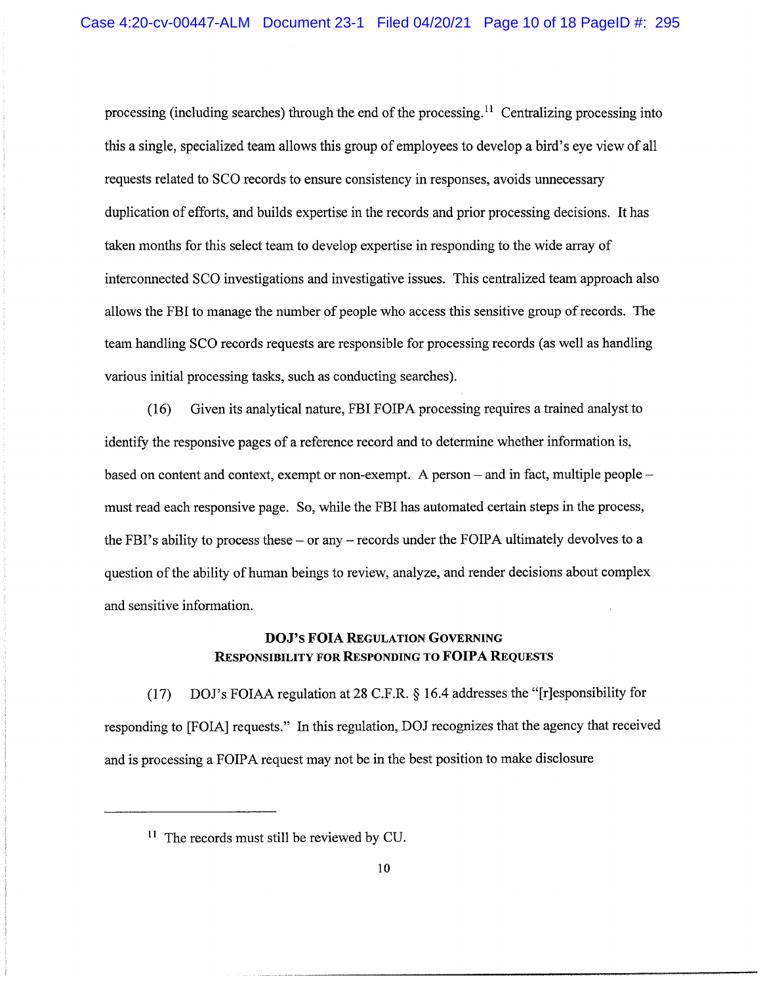processing (including searches) through the end of the processing.<sup>11</sup> Centralizing processing into this a single, specialized team allows this group of employees to develop a bird's eye view of all requests related to SCO records to ensure consistency in responses, avoids unnecessary duplication of efforts, and builds expertise in the records and prior processing decisions. It has taken months for this select team to develop expertise in responding to the wide array of interconnected SCO investigations and investigative issues. This centralized team approach also allows the FBI to manage the number of people who access this sensitive group of records. The team handling SCO records requests are responsible for processing records (as well as handling various initial processing tasks, such as conducting searches).

(16) Given its analytical nature, FBI FOIPA processing requires a trained analyst to identify the responsive pages of a reference record and to determine whether information is, based on content and context, exempt or non-exempt. A person  $-$  and in fact, multiple people $$ must read each responsive page. So, while the FBI has automated certain steps in the process, the FBI's ability to process these – or any – records under the FOIPA ultimately devolves to a question of the ability of human beings to review, analyze, and render decisions about complex and sensitive information.

# DOJ's **FOIA** REGULATION GOVERNING RESPONSIBILITY FOR RESPONDING TO **FOIPA** REQUESTS

(17) DOl's FOIAA regulation at 28 C.F.R. § 16.4 addresses the "[r]esponsibility for responding to [FOIA] requests." In this regulation, DO] recognizes that the agency that received and is processing a FOIPA request may not be in the best position to make disclosure

<sup>&</sup>lt;sup>11</sup> The records must still be reviewed by CU.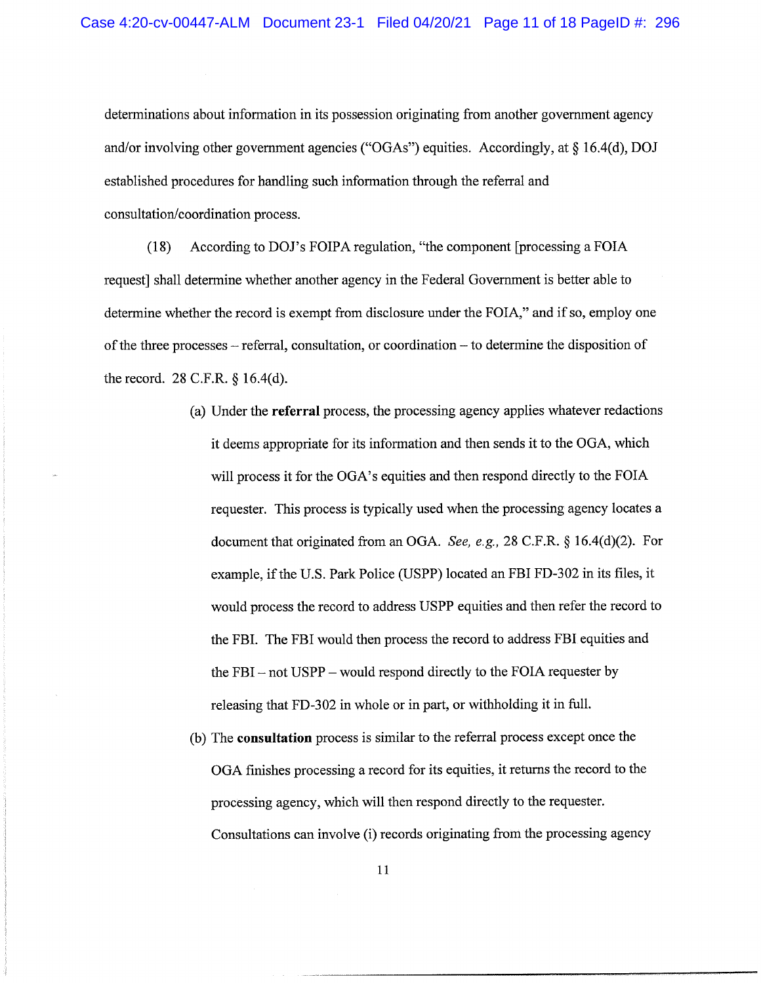determinations about information in its possession originating from another government agency and/or involving other government agencies ("OGAs") equities. Accordingly, at  $\S$  16.4(d), DOJ established procedures for handling such information through the referral and consultation/coordination process.

(18) According to DOl's FOIPA regulation, "the component [processing a FOIA request] shall determine whether another agency in the Federal Government is better able to determine whether the record is exempt from disclosure under the FOIA," and if so, employ one of the three processes - referral, consultation, or coordination - to determine the disposition of the record. 28 C.F.R. § 16.4(d).

- (a) Under the **referral** process, the processing agency applies whatever redactions it deems appropriate for its information and then sends it to the OGA, which will process it for the OGA's equities and then respond directly to the FOIA requester. This process is typically used when the processing agency locates a document that originated from an OGA. *See, e.g.,* 28 C.F.R. § 16.4(d)(2). For example, if the U.S. Park Police (USPP) located an FBI FD-302 in its files, it would process the record to address USPP equities and then refer the record to the FBI. The FBI would then process the record to address FBI equities and the FBI - not USPP - would respond directly to the FOIA requester by releasing that FD-302 in whole or in part, or withholding it in full.
- (b) The **consultation** process is similar to the referral process except once the OGA finishes processing a record for its equities, it returns the record to the processing agency, which will then respond directly to the requester. Consultations can involve (i) records originating from the processing agency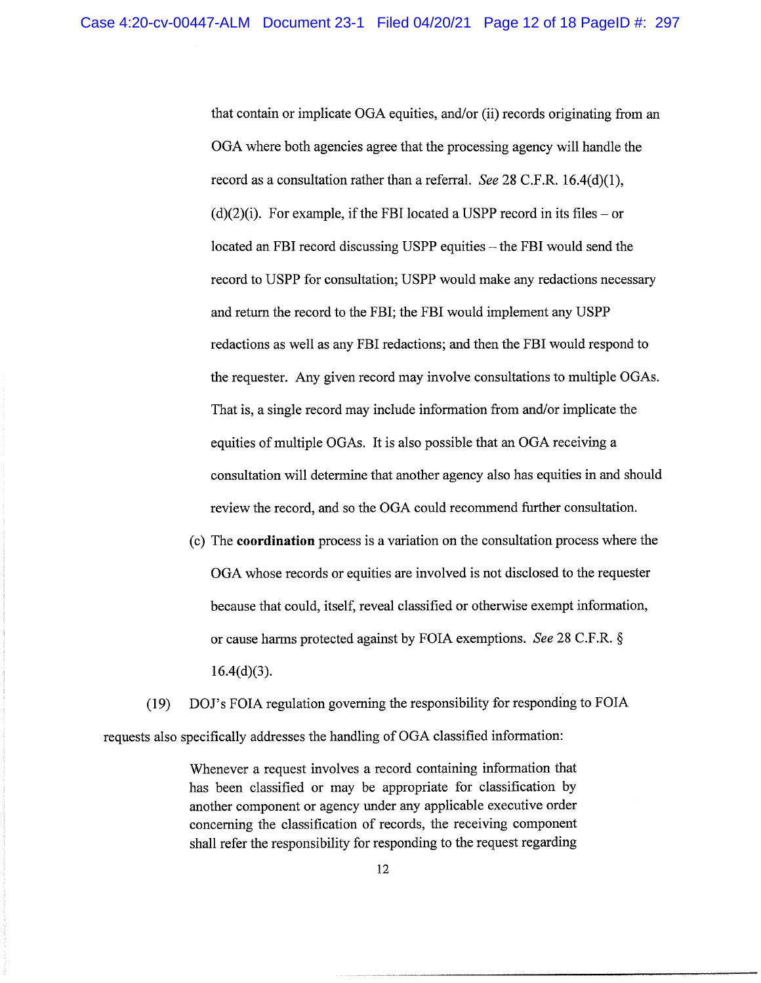that contain or implicate OGA equities, and/or (ii) records originating from an OGA where both agencies agree that the processing agency will handle the record as a consultation rather than a referral. *See* 28 C.F.R. 16.4(d)(1),  $(d)(2)(i)$ . For example, if the FBI located a USPP record in its files – or  $located$  an FBI record discussing USPP equities  $-$  the FBI would send the record to USPP for consultation; USPP would make any redactions necessary and return the record to the FBI; the FBI would implement any USPP redactions as well as any FBI redactions; and then the FBI would respond to the requester. Any given record may involve consultations to multiple OGAs. That is, a single record may include information from and/or implicate the equities of multiple OGAs. It is also possible that an OGA receiving a consultation will determine that another agency also has equities in and should review the record, and so the OGA could recommend further consultation.

(c) The **coordination** process is a variation on the consultation process where the OGA whose records or equities are involved is not disclosed to the requester because that could, itself, reveal classified or otherwise exempt information, or cause harms protected against by FOIA exemptions. *See* 28 C.F.R. §  $16.4(d)(3)$ .

*(19) DOl's* FOIA regulation governing the responsibility for responding to FOIA requests also specifically addresses the handling of OGA classified information:

> Whenever a request involves a record containing information that has been classified or may be appropriate for classification by another component or agency under any applicable executive order concerning the classification of records, the receiving component shall refer the responsibility for responding to the request regarding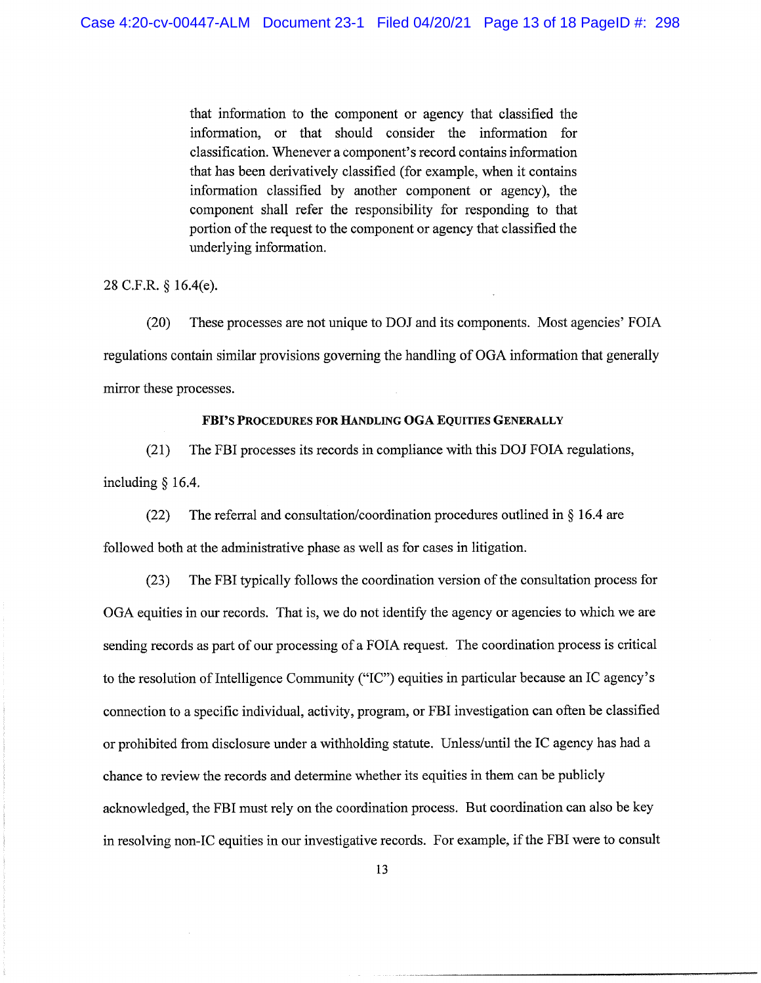that information to the component or agency that classified the information, or that should consider the information for classification. Whenever a component's record contains information that has been derivatively classified (for example, when it contains information classified by another component or agency), the component shall refer the responsibility for responding to that portion of the request to the component or agency that classified the underlying information.

28 C.F.R. § 16.4(e).

(20) These processes are not unique to DO] and its components. Most agencies' FOIA regulations contain similar provisions governing the handling of OGA information that generally mirror these processes.

#### FBI'S PROCEDURES FOR HANDLING OGA EQUITIES GENERALLY

(21) The FBI processes its records in compliance with this DO] FOIA regulations, including § 16.4.

(22) The referral and consultation/coordination procedures outlined in  $\S$  16.4 are

followed both at the administrative phase as well as for cases in litigation.

(23) The FBI typically follows the coordination version of the consultation process for OGA equities in our records. That is, we do not identify the agency or agencies to which we are sending records as part of our processing of a FOIA request. The coordination process is critical to the resolution of Intelligence Community ("IC") equities in particular because an IC agency's connection to a specific individual, activity, program, or FBI investigation can often be classified or prohibited from disclosure under a withholding statute. Unless/until the IC agency has had a chance to review the records and determine whether its equities in them can be publicly acknowledged, the FBI must rely on the coordination process. But coordination can also be key in resolving non-IC equities in our investigative records. For example, if the FBI were to consult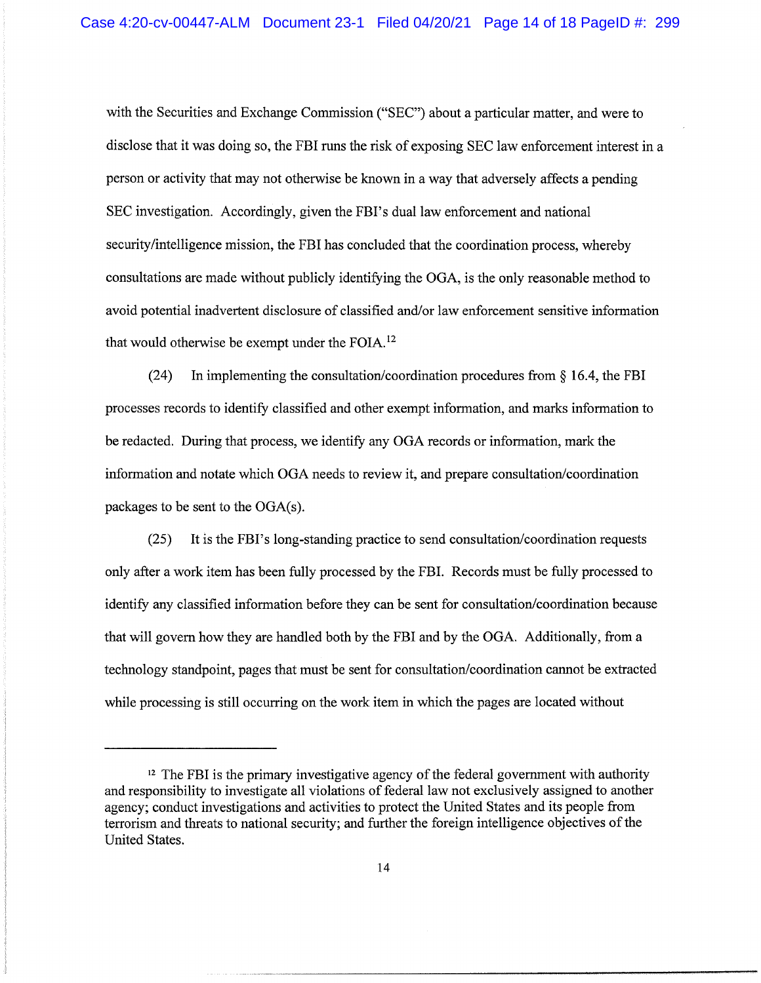with the Securities and Exchange Commission ("SEC") about a particular matter, and were to disclose that it was doing so, the FBI runs the risk of exposing SEC law enforcement interest in a person or activity that may not otherwise be known in a way that adversely affects a pending SEC investigation. Accordingly, given the FBI's dual law enforcement and national security/intelligence mission, the FBI has concluded that the coordination process, whereby consultations are made without publicly identifying the OGA, is the only reasonable method to avoid potential inadvertent disclosure of classified and/or law enforcement sensitive information that would otherwise be exempt under the FOIA.<sup>12</sup>

(24) In implementing the consultation/coordination procedures from  $\S$  16.4, the FBI processes records to identify classified and other exempt information, and marks information to be redacted. During that process, we identify any OGA records or information, mark the information and notate which OGA needs to review it, and prepare consultation/coordination packages to be sent to the OGA(s).

(25) It is the FBI's long-standing practice to send consultation/coordination requests only after a work item has been fully processed by the FBI. Records must be fully processed to identify any classified information before they can be sent for consultation/coordination because that will govern how they are handled both by the FBI and by the OGA. Additionally, from a technology standpoint, pages that must be sent for consultation/coordination cannot be extracted while processing is still occurring on the work item in which the pages are located without

 $12$  The FBI is the primary investigative agency of the federal government with authority and responsibility to investigate all violations of federal law not exclusively assigned to another agency; conduct investigations and activities to protect the United States and its people from terrorism and threats to national security; and further the foreign intelligence objectives of the United States.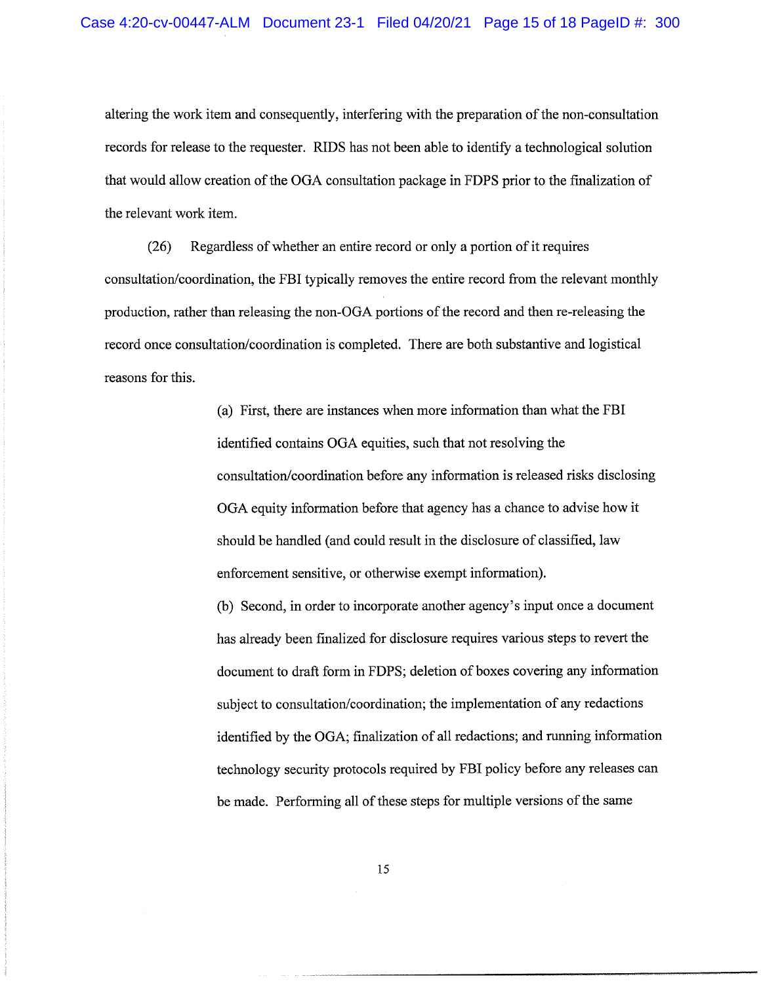altering the work item and consequently, interfering with the preparation of the non-consultation records for release to the requester. RIDS has not been able to identify a technological solution that would allow creation of the OOA consultation package in FDPS prior to the finalization of the relevant work item.

(26) Regardless of whether an entire record or only a portion of it requires consultation/coordination, the FBI typically removes the entire record from the relevant monthly production, rather than releasing the non-OGA portions of the record and then re-releasing the record once consultation/coordination is completed. There are both substantive and logistical reasons for this.

> (a) First, there are instances when more information than what the FBI identified contains OOA equities, such that not resolving the consultation/coordination before any information is released risks disclosing OOA equity information before that agency has a chance to advise how it should be handled (and could result in the disclosure of classified, law enforcement sensitive, or otherwise exempt information).

(b) Second, in order to incorporate another agency's input once a document has already been finalized for disclosure requires various steps to revert the document to draft form in FDPS; deletion of boxes covering any information subject to consultation/coordination; the implementation of any redactions identified by the OOA; finalization of all redactions; and running information technology security protocols required by FBI policy before any releases can be made. Performing all of these steps for multiple versions of the same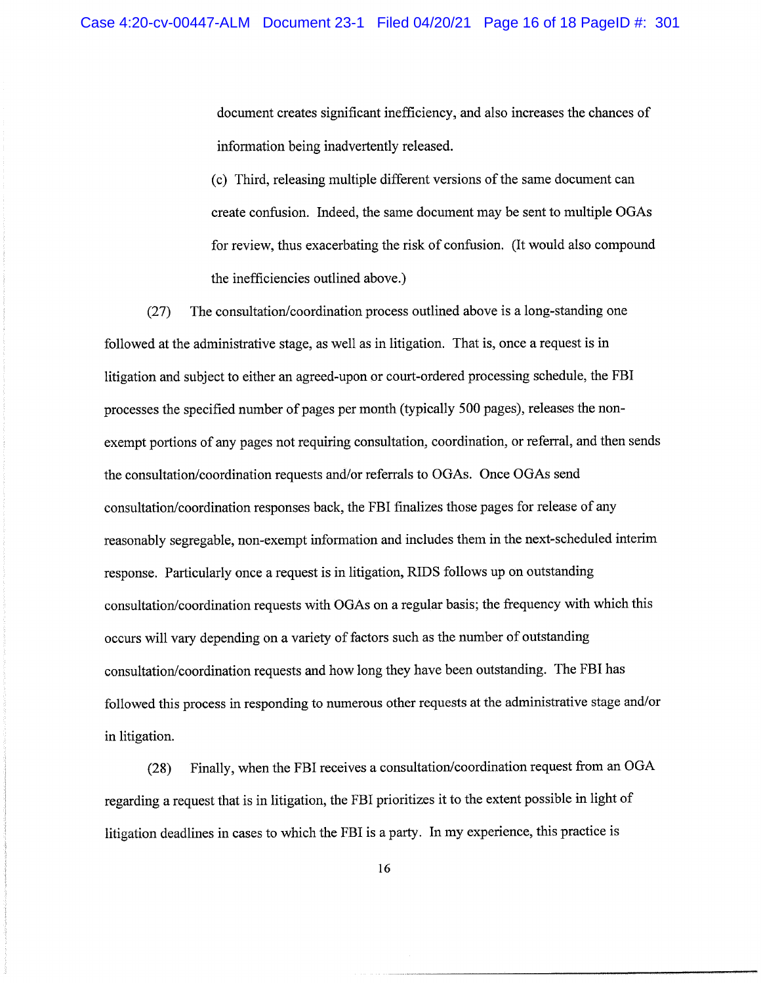document creates significant inefficiency, and also increases the chances of information being inadvertently released.

(c) Third, releasing multiple different versions of the same document can create confusion. Indeed, the same document may be sent to multiple OGAs for review, thus exacerbating the risk of confusion. (It would also compound the inefficiencies outlined above.)

(27) The consultation/coordination process outlined above is a long-standing one followed at the administrative stage, as well as in litigation. That is, once a request is in litigation and subject to either an agreed-upon or court-ordered processing schedule, the FBI processes the specified number of pages per month (typically 500 pages), releases the nonexempt portions of any pages not requiring consultation, coordination, or referral, and then sends the consultation/coordination requests and/or referrals to OGAs. Once OGAs send consultation/coordination responses back, the FBI finalizes those pages for release of any reasonably segregable, non-exempt information and includes them in the next-scheduled interim response. Particularly once a request is in litigation, RIDS follows up on outstanding consultation/coordination requests with OGAs on a regular basis; the frequency with which this occurs will vary depending on a variety of factors such as the number of outstanding consultation/coordination requests and how long they have been outstanding. The FBI has followed this process in responding to numerous other requests at the administrative stage and/or in litigation.

(28) Finally, when the FBI receives a consultation/coordination request from an OGA regarding a request that is in litigation, the FBI prioritizes it to the extent possible in light of litigation deadlines in cases to which the FBI is a party. In my experience, this practice is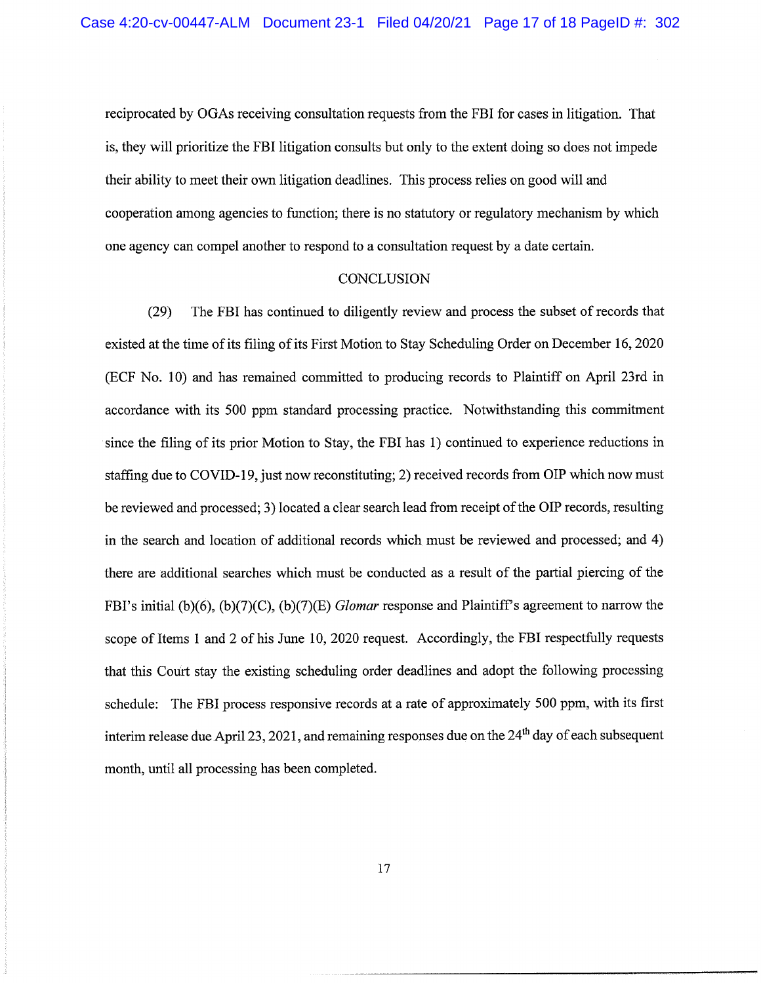reciprocated by OGAs receiving consultation requests from the FBI for cases in litigation. That is, they will prioritize the FBI litigation consults but only to the extent doing so does not impede their ability to meet their own litigation deadlines. This process relies on good will and cooperation among agencies to function; there is no statutory or regulatory mechanism by which one agency can compel another to respond to a consultation request by a date certain.

#### **CONCLUSION**

(29) The FBI has continued to diligently review and process the subset of records that existed at the time of its filing of its First Motion to Stay Scheduling Order on December 16,2020 (ECF No. 10) and has remained committed to producing records to Plaintiff on April 23rd in accordance with its 500 ppm standard processing practice. Notwithstanding this commitment since the filing of its prior Motion to Stay, the FBI has 1) continued to experience reductions in staffing due to COVID-19, just now reconstituting; 2) received records from OIP which now must be reviewed and processed; 3) located a clear search lead from receipt of the OIP records, resulting in the search and location of additional records which must be reviewed and processed; and 4) there are additional searches which must be conducted as a result of the partial piercing of the FBI's initial (b)(6), (b)(7)(C), (b)(7)(E) *Glomar* response and Plaintiff's agreement to narrow the scope of Items 1 and 2 of his June  $10$ ,  $2020$  request. Accordingly, the FBI respectfully requests that this Court stay the existing scheduling order deadlines and adopt the following processing schedule: The FBI process responsive records at a rate of approximately 500 ppm, with its first interim release due April 23, 2021, and remaining responses due on the  $24<sup>th</sup>$  day of each subsequent month, until all processing has been completed.